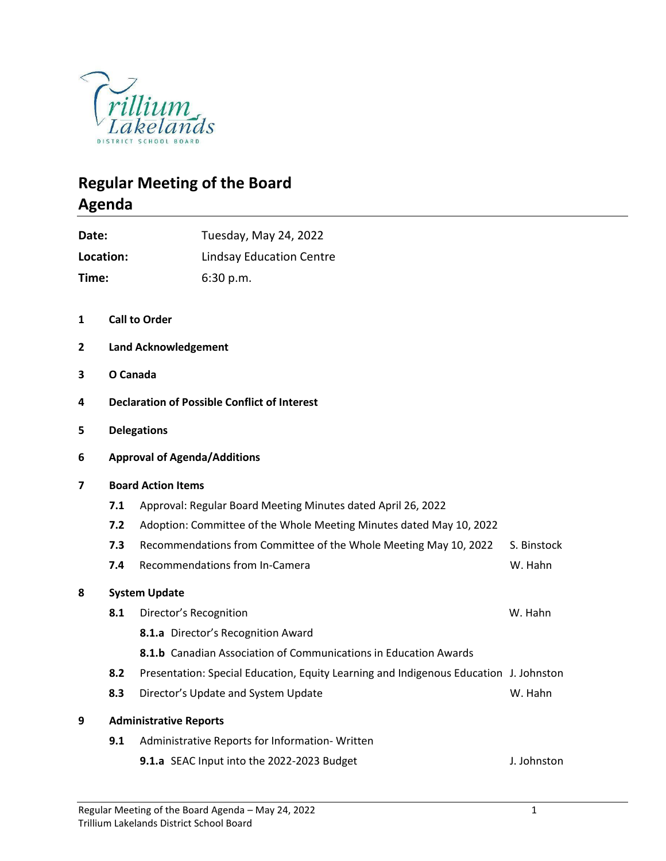

## **Regular Meeting of the Board Agenda**

| Date:     |                           | Tuesday, May 24, 2022                                                                 |             |  |  |  |  |  |
|-----------|---------------------------|---------------------------------------------------------------------------------------|-------------|--|--|--|--|--|
| Location: |                           | <b>Lindsay Education Centre</b>                                                       |             |  |  |  |  |  |
| Time:     |                           | 6:30 p.m.                                                                             |             |  |  |  |  |  |
| 1         |                           | <b>Call to Order</b>                                                                  |             |  |  |  |  |  |
| 2         |                           | <b>Land Acknowledgement</b>                                                           |             |  |  |  |  |  |
| 3         |                           | O Canada                                                                              |             |  |  |  |  |  |
| 4         |                           | <b>Declaration of Possible Conflict of Interest</b>                                   |             |  |  |  |  |  |
| 5         |                           | <b>Delegations</b>                                                                    |             |  |  |  |  |  |
| 6         |                           | <b>Approval of Agenda/Additions</b>                                                   |             |  |  |  |  |  |
| 7         | <b>Board Action Items</b> |                                                                                       |             |  |  |  |  |  |
|           | 7.1                       | Approval: Regular Board Meeting Minutes dated April 26, 2022                          |             |  |  |  |  |  |
|           | 7.2                       | Adoption: Committee of the Whole Meeting Minutes dated May 10, 2022                   |             |  |  |  |  |  |
|           | 7.3                       | Recommendations from Committee of the Whole Meeting May 10, 2022                      | S. Binstock |  |  |  |  |  |
|           | 7.4                       | Recommendations from In-Camera                                                        | W. Hahn     |  |  |  |  |  |
| 8         | <b>System Update</b>      |                                                                                       |             |  |  |  |  |  |
|           | 8.1                       | Director's Recognition                                                                | W. Hahn     |  |  |  |  |  |
|           |                           | 8.1.a Director's Recognition Award                                                    |             |  |  |  |  |  |
|           |                           | 8.1.b Canadian Association of Communications in Education Awards                      |             |  |  |  |  |  |
|           | 8.2                       | Presentation: Special Education, Equity Learning and Indigenous Education J. Johnston |             |  |  |  |  |  |
|           | 8.3                       | Director's Update and System Update                                                   | W. Hahn     |  |  |  |  |  |
| 9         |                           | <b>Administrative Reports</b>                                                         |             |  |  |  |  |  |
|           | 9.1                       | Administrative Reports for Information-Written                                        |             |  |  |  |  |  |
|           |                           | 9.1.a SEAC Input into the 2022-2023 Budget                                            | J. Johnston |  |  |  |  |  |
|           |                           |                                                                                       |             |  |  |  |  |  |